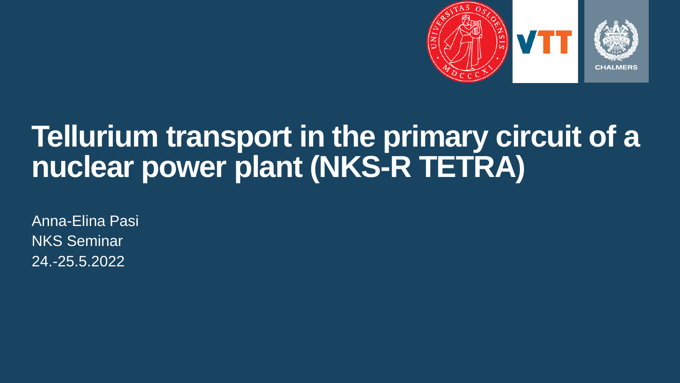

### **Tellurium transport in the primary circuit of a nuclear power plant (NKS-R TETRA)**

Anna-Elina Pasi NKS Seminar 24.-25.5.2022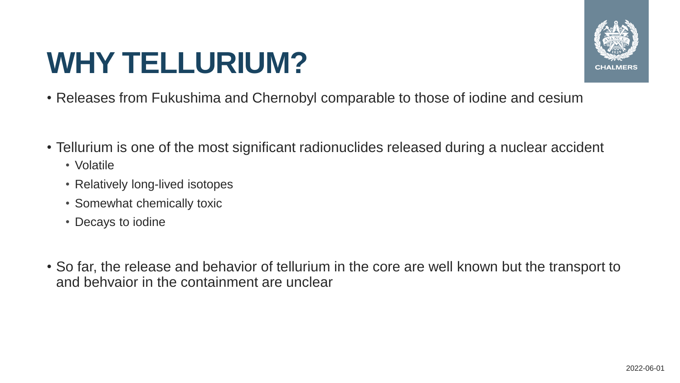### **WHY TELLURIUM?**



- Releases from Fukushima and Chernobyl comparable to those of iodine and cesium
- Tellurium is one of the most significant radionuclides released during a nuclear accident
	- Volatile
	- Relatively long-lived isotopes
	- Somewhat chemically toxic
	- Decays to iodine
- So far, the release and behavior of tellurium in the core are well known but the transport to and behvaior in the containment are unclear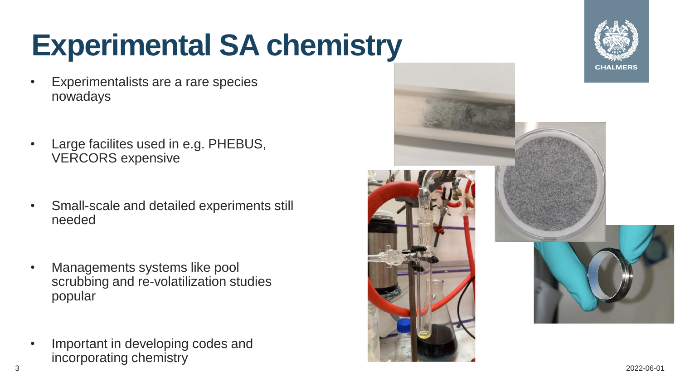# **Experimental SA chemistry**

- Experimentalists are a rare species nowadays
- Large facilites used in e.g. PHEBUS, VERCORS expensive
- Small-scale and detailed experiments still needed
- Managements systems like pool scrubbing and re-volatilization studies popular
- Important in developing codes and incorporating chemistry



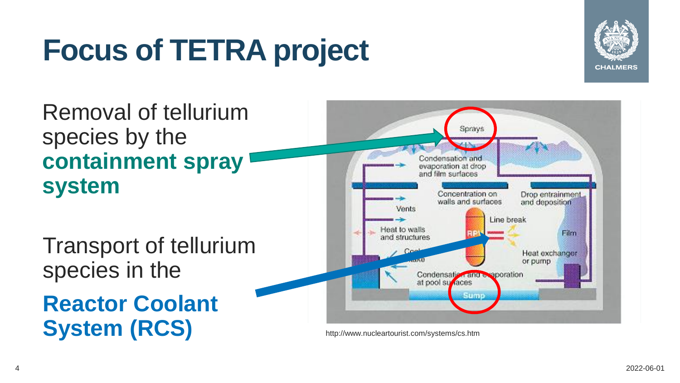# **Focus of TETRA project**



Removal of tellurium species by the **containment spray system**

Transport of tellurium species in the

**Reactor Coolant System (RCS)** http://www.nucleartourist.com/systems/cs.htm

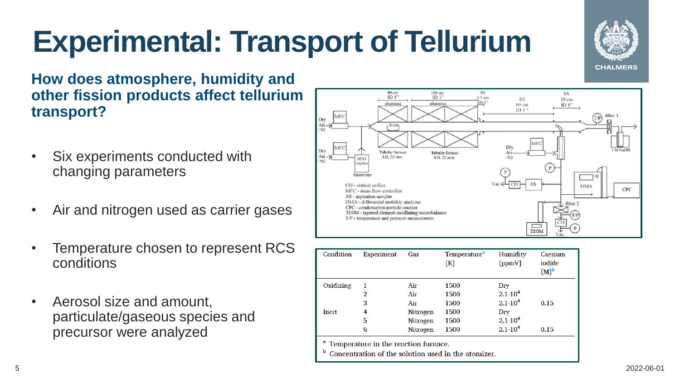# **Experimental: Transport of Tellurium**



**How does atmosphere, humidity and other fission products affect tellurium transport?**

- Six experiments conducted with changing parameters
- Air and nitrogen used as carrier gases
- Temperature chosen to represent RCS conditions
- Aerosol size and amount, particulate/gaseous species and precursor were analyzed



| Condition | <b>Experiment</b> | Gas             | Temperature <sup>a</sup><br>[K] | Humidity<br>[ppmV] | Caesium<br>iodide<br>$[M]^{b}$ |
|-----------|-------------------|-----------------|---------------------------------|--------------------|--------------------------------|
| Oxidizing | 1                 | Air             | 1500                            | Dry                |                                |
|           | 2                 | Air             | 1500                            | $2.1 \cdot 10^{4}$ |                                |
|           | 3                 | Air             | 1500                            | $2.1 \cdot 10^{4}$ | 0.15                           |
| Inert     | 4                 | <b>Nitrogen</b> | 1500                            | Dry                |                                |
|           | 5                 | <b>Nitrogen</b> | 1500                            | $2.1 \cdot 10^{4}$ |                                |
|           | 6                 | <b>Nitrogen</b> | 1500                            | $2.1 \cdot 10^4$   | 0.15                           |

Temperature in the reaction furnace.

Concentration of the solution used in the atomizer.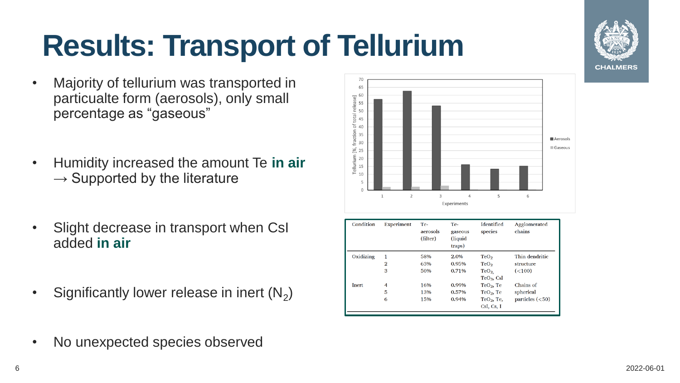### **Results: Transport of Tellurium**

- Majority of tellurium was transported in particualte form (aerosols), only small percentage as "gaseous"
- Humidity increased the amount Te **in air**   $\rightarrow$  Supported by the literature
- Slight decrease in transport when CsI added **in air**
- Significantly lower release in inert  $(N_2)$



| Condition | Experiment     | Te-<br>aerosols<br>(filter) | Te-<br>gaseous<br>(liquid<br>traps) | Identified<br>species | Agglomerated<br>chains |
|-----------|----------------|-----------------------------|-------------------------------------|-----------------------|------------------------|
| Oxidizing |                | 58%                         | 2.0%                                | TeO <sub>2</sub>      | Thin dendritic         |
|           | $\overline{2}$ | 63%                         | 0.95%                               | TeO <sub>2</sub>      | structure              |
|           | 3              | 50%                         | 0.71%                               | TeO <sub>2</sub>      | (<100)                 |
|           |                |                             |                                     | $TeO3$ , CsI          |                        |
| Inert     | 4              | 16%                         | 0.99%                               | TeO <sub>2</sub> , Te | Chains of              |
|           | 5              | 13%                         | 0.57%                               | TeO <sub>2</sub> , Te | spherical              |
|           | 6              | 15%                         | 0.94%                               | $TeO2$ , Te,          | particles $(<50)$      |
|           |                |                             |                                     | CsI, Cs, I            |                        |

• No unexpected species observed

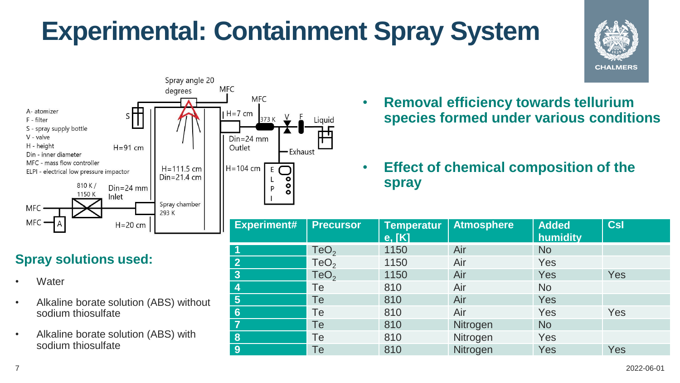### **Experimental: Containment Spray System**

Liauid





#### **Spray solutions used:**

- Water
- Alkaline borate solution (ABS) without sodium thiosulfate
- Alkaline borate solution (ABS) with sodium thiosulfate
- **Removal efficiency towards tellurium species formed under various conditions**
- **Effect of chemical composition of the spray**

| <b>Experiment#</b> | <b>Precursor</b> | <b>Temperatur</b><br>e, [K] | <b>Atmosphere</b> | <b>Added</b><br>humidity | Csl |
|--------------------|------------------|-----------------------------|-------------------|--------------------------|-----|
| -1                 | TeO <sub>2</sub> | 1150                        | Air               | <b>No</b>                |     |
| $\mathbf{Z}$       | TeO <sub>2</sub> | 1150                        | Air               | Yes                      |     |
| 3 <sup>2</sup>     | TeO <sub>2</sub> | 1150                        | Air               | <b>Yes</b>               | Yes |
| 4                  | Te               | 810                         | Air               | <b>No</b>                |     |
| 5 <sup>5</sup>     | Te               | 810                         | Air               | Yes                      |     |
| $6\phantom{1}$     | Te               | 810                         | Air               | <b>Yes</b>               | Yes |
| $\overline{7}$     | Te               | 810                         | Nitrogen          | <b>No</b>                |     |
| 8                  | Te               | 810                         | Nitrogen          | Yes                      |     |
| <b>9</b>           | Te               | 810                         | Nitrogen          | Yes                      | Yes |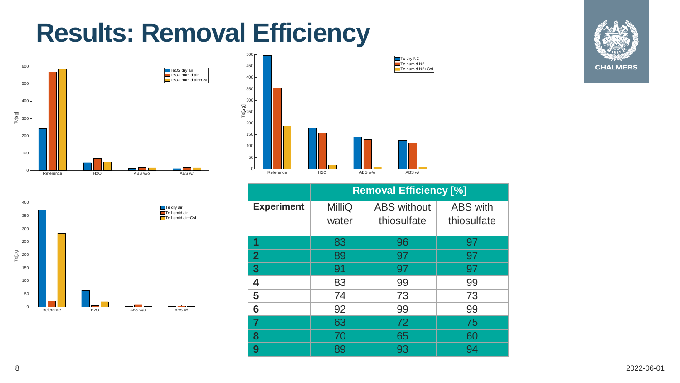### **Results: Removal Efficiency**









|                   | <b>Removal Efficiency [%]</b> |                                   |                                |  |
|-------------------|-------------------------------|-----------------------------------|--------------------------------|--|
| <b>Experiment</b> | MilliQ<br>water               | <b>ABS</b> without<br>thiosulfate | <b>ABS</b> with<br>thiosulfate |  |
| 1                 | 83                            | 96                                | 97                             |  |
| $\overline{2}$    | 89                            | 97                                | 97                             |  |
| 3                 | 91                            | 97                                | 97                             |  |
| 4                 | 83                            | 99                                | 99                             |  |
| 5                 | 74                            | 73                                | 73                             |  |
| 6                 | 92                            | 99                                | 99                             |  |
| 7                 | 63                            | 72                                | 75                             |  |
| 8                 | 70                            | 65                                | 60                             |  |
| 9                 | 89                            | 93                                | 94                             |  |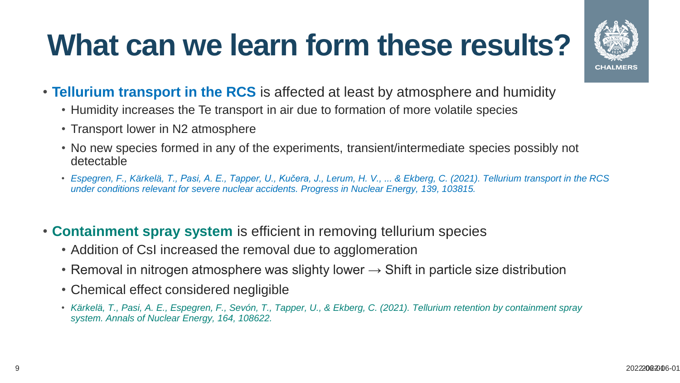## **What can we learn form these results?**



- **Tellurium transport in the RCS** is affected at least by atmosphere and humidity
	- Humidity increases the Te transport in air due to formation of more volatile species
	- Transport lower in N2 atmosphere
	- No new species formed in any of the experiments, transient/intermediate species possibly not detectable
	- *Espegren, F., Kärkelä, T., Pasi, A. E., Tapper, U., Kučera, J., Lerum, H. V., ... & Ekberg, C. (2021). Tellurium transport in the RCS under conditions relevant for severe nuclear accidents. Progress in Nuclear Energy, 139, 103815.*
- **Containment spray system** is efficient in removing tellurium species
	- Addition of CsI increased the removal due to agglomeration
	- Removal in nitrogen atmosphere was slighty lower  $\rightarrow$  Shift in particle size distribution
	- Chemical effect considered negligible
	- *Kärkelä, T., Pasi, A. E., Espegren, F., Sevón, T., Tapper, U., & Ekberg, C. (2021). Tellurium retention by containment spray system. Annals of Nuclear Energy, 164, 108622.*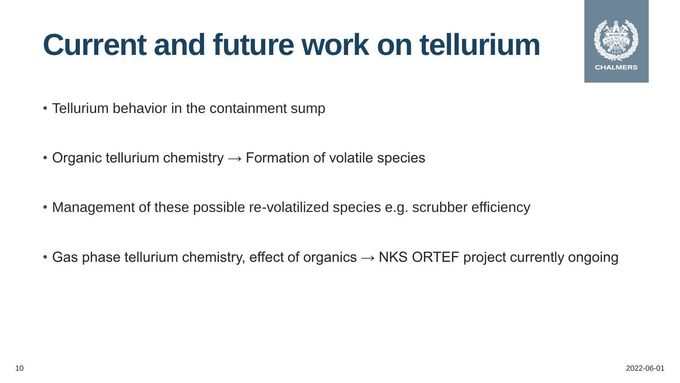## **Current and future work on tellurium**

- Tellurium behavior in the containment sump
- Organic tellurium chemistry  $\rightarrow$  Formation of volatile species
- Management of these possible re-volatilized species e.g. scrubber efficiency
- Gas phase tellurium chemistry, effect of organics  $\rightarrow$  NKS ORTEF project currently ongoing